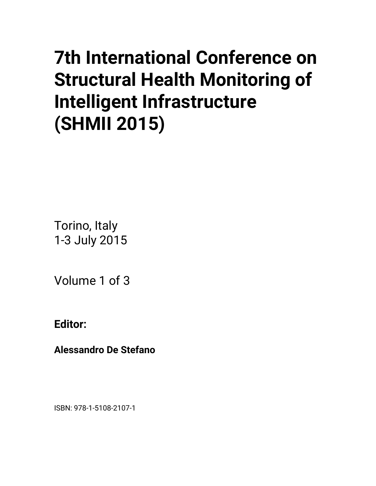# **7th International Conference on Structural Health Monitoring of Intelligent Infrastructure (SHMII 2015)**

Torino, Italy 1-3 July 2015

Volume 1 of 3

**Editor:** 

**Alessandro De Stefano** 

ISBN: 978-1-5108-2107-1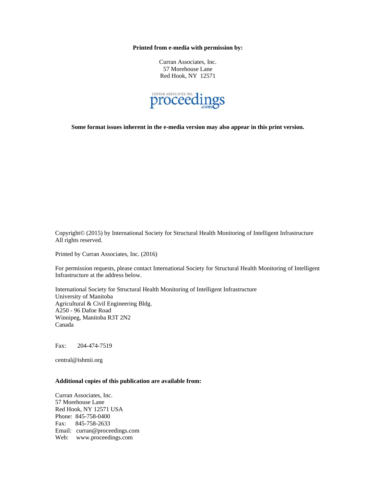**Printed from e-media with permission by:** 

Curran Associates, Inc. 57 Morehouse Lane Red Hook, NY 12571



**Some format issues inherent in the e-media version may also appear in this print version.** 

Copyright© (2015) by International Society for Structural Health Monitoring of Intelligent Infrastructure All rights reserved.

Printed by Curran Associates, Inc. (2016)

For permission requests, please contact International Society for Structural Health Monitoring of Intelligent Infrastructure at the address below.

International Society for Structural Health Monitoring of Intelligent Infrastructure University of Manitoba Agricultural & Civil Engineering Bldg. A250 - 96 Dafoe Road Winnipeg, Manitoba R3T 2N2 Canada

Fax: 204-474-7519

central@ishmii.org

#### **Additional copies of this publication are available from:**

Curran Associates, Inc. 57 Morehouse Lane Red Hook, NY 12571 USA Phone: 845-758-0400 Fax: 845-758-2633 Email: curran@proceedings.com Web: www.proceedings.com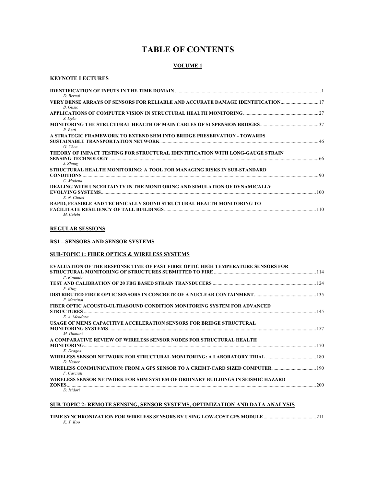# **TABLE OF CONTENTS**

## **VOLUME 1**

## **KEYNOTE LECTURES**

| D. Bernal                                                                                        |     |
|--------------------------------------------------------------------------------------------------|-----|
| VERY DENSE ARRAYS OF SENSORS FOR RELIABLE AND ACCURATE DAMAGE IDENTIFICATION<br><b>B.</b> Glisic |     |
| S. Dyke                                                                                          |     |
| R. Betti                                                                                         |     |
| A STRATEGIC FRAMEWORK TO EXTEND SHM INTO BRIDGE PRESERVATION - TOWARDS<br>G. Chen                |     |
| THEORY OF IMPACT TESTING FOR STRUCTURAL IDENTIFICATION WITH LONG-GAUGE STRAIN<br>J. Zhang        |     |
| STRUCTURAL HEALTH MONITORING: A TOOL FOR MANAGING RISKS IN SUB-STANDARD<br>C. Modena             |     |
| DEALING WITH UNCERTAINTY IN THE MONITORING AND SIMULATION OF DYNAMICALLY<br>E. N. Chatzi         | 100 |
| RAPID, FEASIBLE AND TECHNICALLY SOUND STRUCTURAL HEALTH MONITORING TO<br>M. Celebi               | 110 |

#### **REGULAR SESSIONS**

#### **RS1 – SENSORS AND SENSOR SYSTEMS**

## **SUB-TOPIC 1: FIBER OPTICS & WIRELESS SYSTEMS**

| <b>EVALUATION OF THE RESPONSE TIME OF FAST FIBRE OPTIC HIGH TEMPERATURE SENSORS FOR</b> |     |
|-----------------------------------------------------------------------------------------|-----|
|                                                                                         |     |
| P. Rinaudo                                                                              |     |
|                                                                                         | 124 |
| F. Klug                                                                                 |     |
|                                                                                         |     |
| F. Martinot                                                                             |     |
| FIBER OPTIC ACOUSTO-ULTRASOUND CONDITION MONITORING SYSTEM FOR ADVANCED                 |     |
|                                                                                         |     |
| E. A. Mendoza                                                                           |     |
| USAGE OF MEMS CAPACITIVE ACCELERATION SENSORS FOR BRIDGE STRUCTURAL                     |     |
|                                                                                         |     |
| M. Dumont                                                                               |     |
| A COMPARATIVE REVIEW OF WIRELESS SENSOR NODES FOR STRUCTURAL HEALTH                     |     |
|                                                                                         | 170 |
| K. Dragos                                                                               |     |
|                                                                                         | 180 |
| D. Hester                                                                               |     |
| 190 WIRELESS COMMUNICATION: FROM A GPS SENSOR TO A CREDIT-CARD SIZED COMPUTER           |     |
| F. Casciati                                                                             |     |
| WIRELESS SENSOR NETWORK FOR SHM SYSTEM OF ORDINARY BUILDINGS IN SEISMIC HAZARD          |     |
| ZONES.                                                                                  | 200 |
| D. Isidori                                                                              |     |

#### **SUB-TOPIC 2: REMOTE SENSING, SENSOR SYSTEMS, OPTIMIZATION AND DATA ANALYSIS**

| K. Y. Koo |  |  |
|-----------|--|--|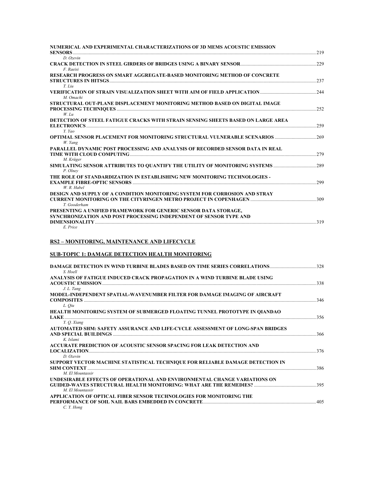| NUMERICAL AND EXPERIMENTAL CHARACTERIZATIONS OF 3D MEMS ACOUSTIC EMISSION                                                                                             |     |
|-----------------------------------------------------------------------------------------------------------------------------------------------------------------------|-----|
| <b>SENSORS</b> 219                                                                                                                                                    |     |
| D. Ozevin<br><b>CRACK DETECTION IN STEEL GIRDERS OF BRIDGES USING A BINARY SENSOR [1976] CRACK DETECTION IN STEEL GIRDERS OF BRIDGES USING A BINARY SENSOR [1976]</b> |     |
| F. Raeisi                                                                                                                                                             |     |
| RESEARCH PROGRESS ON SMART AGGREGATE-BASED MONITORING METHOD OF CONCRETE                                                                                              |     |
|                                                                                                                                                                       |     |
| $T.$ Liu                                                                                                                                                              |     |
| M. Omachi                                                                                                                                                             |     |
| STRUCTURAL OUT-PLANE DISPLACEMENT MONITORING METHOD BASED ON DIGITAL IMAGE                                                                                            |     |
|                                                                                                                                                                       |     |
| $W.$ Lu                                                                                                                                                               |     |
| DETECTION OF STEEL FATIGUE CRACKS WITH STRAIN SENSING SHEETS BASED ON LARGE AREA                                                                                      | 259 |
| Y. Yao                                                                                                                                                                |     |
|                                                                                                                                                                       |     |
| W. Yang                                                                                                                                                               |     |
| PARALLEL DYNAMIC POST PROCESSING AND ANALYSIS OF RECORDED SENSOR DATA IN REAL                                                                                         |     |
| M. Krüger                                                                                                                                                             | 279 |
| SIMULATING SENSOR ATTRIBUTES TO OUANTIFY THE UTILITY OF MONITORING SYSTEMS 289                                                                                        |     |
| P. Olnev                                                                                                                                                              |     |
| THE ROLE OF STANDARDIZATION IN ESTABLISHING NEW MONITORING TECHNOLOGIES -                                                                                             |     |
| <b>EXAMPLE FIBRE-OPTIC SENSORS</b>                                                                                                                                    | 299 |
| W. R. Habel                                                                                                                                                           |     |
| DESIGN AND SUPPLY OF A CONDITION MONITORING SYSTEM FOR CORROSION AND STRAY                                                                                            |     |
| T. Gooderham                                                                                                                                                          |     |
| PRESENTING A UNIFIED FRAMEWORK FOR GENERIC SENSOR DATA STORAGE,                                                                                                       |     |
| SYNCHRONIZATION AND POST PROCESSING INDEPENDENT OF SENSOR TYPE AND                                                                                                    |     |
|                                                                                                                                                                       |     |

#### *E. Price*

## **RS2 – MONITORING, MAINTENANCE AND LIFECYCLE**

## **SUB-TOPIC 1: DAMAGE DETECTION HEALTH MONITORING**

| <b>DAMAGE DETECTION IN WIND TURBINE BLADES BASED ON TIME SERIES CORRELATIONS 328</b><br>S. Hoell  |     |
|---------------------------------------------------------------------------------------------------|-----|
| ANALYSIS OF FATIGUE INDUCED CRACK PROPAGATION IN A WIND TURBINE BLADE USING                       | 338 |
| J. L. Tang<br>MODEL-INDEPENDENT SPATIAL-WAVENUMBER FILTER FOR DAMAGE IMAGING OF AIRCRAFT          |     |
|                                                                                                   |     |
| L. Oiu<br><b>HEALTH MONITORING SYSTEM OF SUBMERGED FLOATING TUNNEL PROTOTYPE IN OIANDAO</b>       |     |
|                                                                                                   | 356 |
| Y. O. Xiang<br>AUTOMATED SHM: SAFETY ASSURANCE AND LIFE-CYCLE ASSESSMENT OF LONG-SPAN BRIDGES     |     |
|                                                                                                   |     |
| K. Islami                                                                                         |     |
| ACCURATE PREDICTION OF ACOUSTIC SENSOR SPACING FOR LEAK DETECTION AND                             |     |
| D. Ozevin                                                                                         |     |
| SUPPORT VECTOR MACHINE STATISTICAL TECHNIQUE FOR RELIABLE DAMAGE DETECTION IN<br>M. El Mountassir | 386 |
| UNDESIRABLE EFFECTS OF OPERATIONAL AND ENVIRONMENTAL CHANGE VARIATIONS ON                         |     |
| M. El Mountassir                                                                                  |     |
| APPLICATION OF OPTICAL FIBER SENSOR TECHNOLOGIES FOR MONITORING THE                               |     |
| C.Y. Hong                                                                                         |     |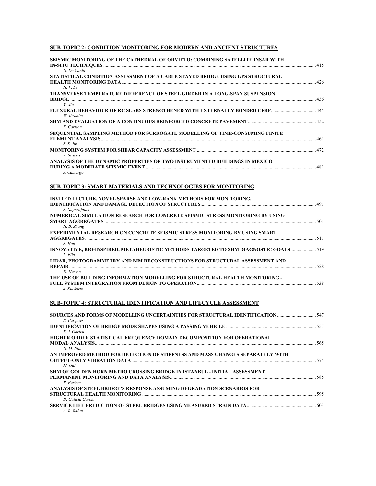## **SUB-TOPIC 2: CONDITION MONITORING FOR MODERN AND ANCIENT STRUCTURES**

| SEISMIC MONITORING OF THE CATHEDRAL OF ORVIETO: COMBINING SATELLITE INSAR WITH       |  |
|--------------------------------------------------------------------------------------|--|
| G. De Canio                                                                          |  |
| STATISTICAL CONDITION ASSESSMENT OF A CABLE STAYED BRIDGE USING GPS STRUCTURAL       |  |
|                                                                                      |  |
| H. V. Le                                                                             |  |
| <b>TRANSVERSE TEMPERATURE DIFFERENCE OF STEEL GIRDER IN A LONG-SPAN SUSPENSION</b>   |  |
| Y. Xia                                                                               |  |
|                                                                                      |  |
| W. Ibrahim                                                                           |  |
|                                                                                      |  |
| F. Carrión                                                                           |  |
| SEQUENTIAL SAMPLING METHOD FOR SURROGATE MODELLING OF TIME-CONSUMING FINITE          |  |
|                                                                                      |  |
| $S. S.$ Jin                                                                          |  |
|                                                                                      |  |
| A. Strauss                                                                           |  |
| ANALYSIS OF THE DYNAMIC PROPERTIES OF TWO INSTRUMENTED BUILDINGS IN MEXICO           |  |
| J. Camargo                                                                           |  |
|                                                                                      |  |
|                                                                                      |  |
| <b>SUB-TOPIC 3: SMART MATERIALS AND TECHNOLOGIES FOR MONITORING</b>                  |  |
|                                                                                      |  |
| <b>INVITED LECTURE. NOVEL SPARSE AND LOW-RANK METHODS FOR MONITORING.</b>            |  |
|                                                                                      |  |
| S. Nagarajaiah                                                                       |  |
| NUMERICAL SIMULATION RESEARCH FOR CONCRETE SEISMIC STRESS MONITORING BY USING        |  |
| H. B. Zhang                                                                          |  |
| <b>EXPERIMENTAL RESEARCH ON CONCRETE SEISMIC STRESS MONITORING BY USING SMART</b>    |  |
|                                                                                      |  |
| S. Hou                                                                               |  |
| INNOVATIVE, BIO-INSPIRED, METAHEURISTIC METHODS TARGETED TO SHM DIAGNOSTIC GOALS 519 |  |
| L. Elia                                                                              |  |
| LIDAR. PHOTOGRAMMETRY AND BIM RECONSTRUCTIONS FOR STRUCTURAL ASSESSMENT AND          |  |
|                                                                                      |  |
| D. Huston                                                                            |  |
| THE USE OF BUILDING INFORMATION MODELLING FOR STRUCTURAL HEALTH MONITORING -         |  |
| J. Kuckartz                                                                          |  |
|                                                                                      |  |
|                                                                                      |  |
| SUB-TOPIC 4: STRUCTURAL IDENTIFICATION AND LIFECYCLE ASSESSMENT                      |  |

| SOURCES AND FORMS OF MODELLING UNCERTAINTIES FOR STRUCTURAL IDENTIFICATION 547<br>R. Pasquier |  |
|-----------------------------------------------------------------------------------------------|--|
|                                                                                               |  |
| E. J. Obrien                                                                                  |  |
| HIGHER ORDER STATISTICAL FREQUENCY DOMAIN DECOMPOSITION FOR OPERATIONAL                       |  |
|                                                                                               |  |
| G. M. Nita                                                                                    |  |
| AN IMPROVED METHOD FOR DETECTION OF STIFFNESS AND MASS CHANGES SEPARATELY WITH                |  |
|                                                                                               |  |
| M. Gül                                                                                        |  |
| SHM OF GOLDEN HORN METRO CROSSING BRIDGE IN ISTANBUL - INITIAL ASSESSMENT                     |  |
|                                                                                               |  |
| P. Furtner                                                                                    |  |
| ANALYSIS OF STEEL BRIDGE'S RESPONSE ASSUMING DEGRADATION SCENARIOS FOR                        |  |
|                                                                                               |  |
| D. Galicia Garcia                                                                             |  |
| 603 SERVICE LIFE PREDICTION OF STEEL BRIDGES USING MEASURED STRAIN DATA                       |  |
| A. R. Rahai                                                                                   |  |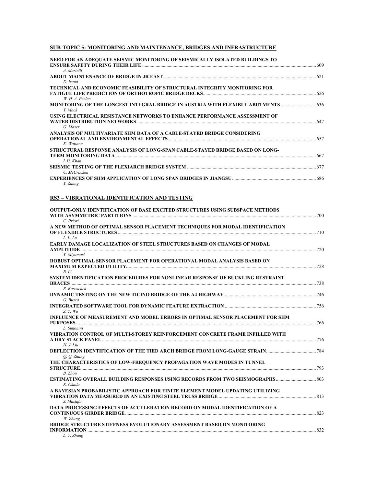## **SUB-TOPIC 5: MONITORING AND MAINTENANCE, BRIDGES AND INFRASTRUCTURE**

| NEED FOR AN ADEOUATE SEISMIC MONITORING OF SEISMICALLY ISOLATED BUILDINGS TO      |  |
|-----------------------------------------------------------------------------------|--|
|                                                                                   |  |
| A. Martelli                                                                       |  |
|                                                                                   |  |
| D. Izumi                                                                          |  |
| TECHNICAL AND ECONOMIC FEASIBILITY OF STRUCTURAL INTEGRITY MONITORING FOR         |  |
|                                                                                   |  |
| W. H. A. Peelen                                                                   |  |
| MONITORING OF THE LONGEST INTEGRAL BRIDGE IN AUSTRIA WITH FLEXIBLE ABUTMENTS  636 |  |
| T. Mack                                                                           |  |
| USING ELECTRICAL RESISTANCE NETWORKS TO ENHANCE PERFORMANCE ASSESSMENT OF         |  |
|                                                                                   |  |
| G Moser                                                                           |  |
| ANALYSIS OF MULTIVARIATE SHM DATA OF A CABLE-STAYED BRIDGE CONSIDERING            |  |
|                                                                                   |  |
| K Wattana                                                                         |  |
| STRUCTURAL RESPONSE ANALYSIS OF LONG-SPAN CABLE-STAYED BRIDGE BASED ON LONG-      |  |
|                                                                                   |  |
| I. U. Khan                                                                        |  |
|                                                                                   |  |
| C. McCracken                                                                      |  |
|                                                                                   |  |
| Y. Zhang                                                                          |  |

#### **RS3 – VIBRATIONAL IDENTIFICATION AND TESTING**

| <b>OUTPUT-ONLY IDENTIFICATION OF BASE EXCITED STRUCTURES USING SUBSPACE METHODS</b>                |  |
|----------------------------------------------------------------------------------------------------|--|
| C. Priori<br>A NEW METHOD OF OPTIMAL SENSOR PLACEMENT TECHNIOUES FOR MODAL IDENTIFICATION          |  |
| L. L. Lu                                                                                           |  |
| <b>EARLY DAMAGE LOCALIZATION OF STEEL STRUCTURES BASED ON CHANGES OF MODAL</b>                     |  |
| Y. Mivamori<br>ROBUST OPTIMAL SENSOR PLACEMENT FOR OPERATIONAL MODAL ANALYSIS BASED ON             |  |
| B.Li                                                                                               |  |
| SYSTEM IDENTIFICATION PROCEDURES FOR NONLINEAR RESPONSE OF BUCKLING RESTRAINT<br><b>BRACES</b> 738 |  |
| R. Boroschek                                                                                       |  |
| G. Busca                                                                                           |  |
| Z. Y. Wu<br>INFLUENCE OF MEASUREMENT AND MODEL ERRORS IN OPTIMAL SENSOR PLACEMENT FOR SHM          |  |
| L. Simonini                                                                                        |  |
| VIBRATION CONTROL OF MULTI-STOREY REINFORCEMENT CONCRETE FRAME INFILLED WITH                       |  |
| H. J. Liu                                                                                          |  |
| O. O. Zhang<br>THE CHARACTERISTICS OF LOW-FREQUENCY PROPAGATION WAVE MODES IN TUNNEL               |  |
| B. Zhou<br>K. Okada                                                                                |  |
| A BAYESIAN PROBABILISTIC APPROACH FOR FINITE ELEMENT MODEL UPDATING UTILIZING<br>S. Mustafa        |  |
| DATA PROCESSING EFFECTS OF ACCELERATION RECORD ON MODAL IDENTIFICATION OF A<br>W. Zhang            |  |
| BRIDGE STRUCTURE STIFFNESS EVOLUTIONARY ASSESSMENT BASED ON MONITORING<br>L. Y. Zhang              |  |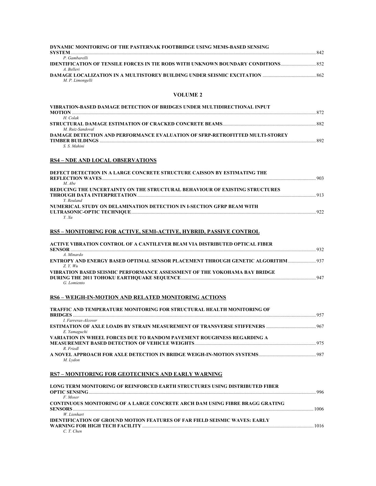| DYNAMIC MONITORING OF THE PASTERNAK FOOTBRIDGE USING MEMS-BASED SENSING<br><b>SYSTEM</b>              | 842 |
|-------------------------------------------------------------------------------------------------------|-----|
| P Gambarelli                                                                                          |     |
| <b>IDENTIFICATION OF TENSILE FORCES IN TIE RODS WITH UNKNOWN BOUNDARY CONDITIONS</b> 852<br>A Relleri |     |
| M. P. Limongelli                                                                                      | 862 |

#### **VOLUME 2**

| VIBRATION-BASED DAMAGE DETECTION OF BRIDGES UNDER MULTIDIRECTIONAL INPUT<br>MOTION  | 872 |
|-------------------------------------------------------------------------------------|-----|
| H Colak                                                                             |     |
| M Ruiz-Sandoval                                                                     | 882 |
| <b>DAMAGE DETECTION AND PERFORMANCE EVALUATION OF SFRP-RETROFITTED MULTI-STOREY</b> |     |
|                                                                                     | 802 |
| $S \times Mahini$                                                                   |     |

## **RS4 – NDE AND LOCAL OBSERVATIONS**

| DEFECT DETECTION IN A LARGE CONCRETE STRUCTURE CAISSON BY ESTIMATING THE               | 903 |
|----------------------------------------------------------------------------------------|-----|
| $M$ Abe<br>REDUCING THE UNCERTAINTY ON THE STRUCTURAL BEHAVIOUR OF EXISTING STRUCTURES |     |
| Y Reuland<br>NUMERICAL STUDY ON DELAMINATION DETECTION IN L-SECTION GFRP BEAM WITH     | Q13 |
|                                                                                        |     |

## **RS5 – MONITORING FOR ACTIVE, SEMI-ACTIVE, HYBRID, PASSIVE CONTROL**

| ACTIVE VIBRATION CONTROL OF A CANTILEVER BEAM VIA DISTRIBUTED OPTICAL FIBER             |     |
|-----------------------------------------------------------------------------------------|-----|
| SENSOR                                                                                  | 932 |
| A Minardo                                                                               |     |
| <b>ENTROPY AND ENERGY BASED OPTIMAL SENSOR PLACEMENT THROUGH GENETIC ALGORITHM  937</b> |     |
| Z Y W u                                                                                 |     |
| VIBRATION BASED SEISMIC PERFORMANCE ASSESSMENT OF THE YOKOHAMA BAY BRIDGE               |     |
|                                                                                         | 947 |
| G. Lomiento                                                                             |     |

## **RS6 – WEIGH-IN-MOTION AND RELATED MONITORING ACTIONS**

| <b>TRAFFIC AND TEMPERATURE MONITORING FOR STRUCTURAL HEALTH MONITORING OF</b> |     |
|-------------------------------------------------------------------------------|-----|
|                                                                               | 957 |
| <i>I. Farreras-Alcover</i>                                                    |     |
|                                                                               |     |
| E. Yamaguchi                                                                  |     |
| VARIATION IN WHEEL FORCES DUE TO RANDOM PAVEMENT ROUGHNESS REGARDING A        |     |
|                                                                               |     |
| R. Friedl                                                                     |     |
|                                                                               |     |
| M. Lydon                                                                      |     |

## **RS7 – MONITORING FOR GEOTECHNICS AND EARLY WARNING**

| LONG TERM MONITORING OF REINFORCED EARTH STRUCTURES USING DISTRIBUTED FIBER                                      | 996  |
|------------------------------------------------------------------------------------------------------------------|------|
| F Moser<br><b>CONTINUOUS MONITORING OF A LARGE CONCRETE ARCH DAM USING FIBRE BRAGG GRATING</b><br><b>SENSORS</b> | 1006 |
| W Lienhart<br><b>IDENTIFICATION OF GROUND MOTION FEATURES OF FAR FIELD SEISMIC WAVES: EARLY</b>                  | 1016 |
| $C$ T Chen                                                                                                       |      |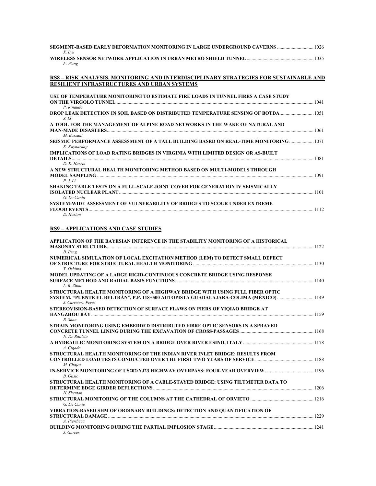| X. Lvu                                                                                                                                        |  |
|-----------------------------------------------------------------------------------------------------------------------------------------------|--|
| F. Wang                                                                                                                                       |  |
| RS8 - RISK ANALYSIS, MONITORING AND INTERDISCIPLINARY STRATEGIES FOR SUSTAINABLE AND<br>RESILIENT INFRASTRUCTURES AND URBAN SYSTEMS           |  |
|                                                                                                                                               |  |
| USE OF TEMPERATURE MONITORING TO ESTIMATE FIRE LOADS IN TUNNEL FIRES A CASE STUDY<br>ON THE VIRGOLO TUNNEL <b><i>EXECUTED TUNNEL</i></b> 2014 |  |
| P. Rinaudo<br>DROP LEAK DETECTION IN SOIL BASED ON DISTRIBUTED TEMPERATURE SENSING OF BOTDA<br>S. Li                                          |  |
| A TOOL FOR THE MANAGEMENT OF ALPINE ROAD NETWORKS IN THE WAKE OF NATURAL AND                                                                  |  |
| M. Bassani<br>SEISMIC PERFORMANCE ASSESSMENT OF A TALL BUILDING BASED ON REAL-TIME MONITORING 1071                                            |  |
| K. Kaynardag<br>IMPLICATIONS OF LOAD RATING BRIDGES IN VIRGINIA WITH LIMITED DESIGN OR AS-BUILT                                               |  |
| $D_K$ . Harris                                                                                                                                |  |
| A NEW STRUCTURAL HEALTH MONITORING METHOD BASED ON MULTI-MODELS THROUGH<br>P. J. Li                                                           |  |
| SHAKING TABLE TESTS ON A FULL-SCALE JOINT COVER FOR GENERATION IV SEISMICALLY                                                                 |  |
| G. De Canio<br>SYSTEM-WIDE ASSESSMENT OF VULNERABILITY OF BRIDGES TO SCOUR UNDER EXTREME                                                      |  |
| D. Huston                                                                                                                                     |  |

## **RS9 – APPLICATIONS AND CASE STUDIES**

| APPLICATION OF THE BAYESIAN INFERENCE IN THE STABILITY MONITORING OF A HISTORICAL    |  |
|--------------------------------------------------------------------------------------|--|
| B. Peng                                                                              |  |
| NUMERICAL SIMULATION OF LOCAL EXCITATION METHOD (LEM) TO DETECT SMALL DEFECT         |  |
|                                                                                      |  |
| T. Oshima                                                                            |  |
| MODEL UPDATING OF A LARGE RIGID-CONTINUOUS CONCRETE BRIDGE USING RESPONSE            |  |
| $L$ R. Zhou                                                                          |  |
| STRUCTURAL HEALTH MONITORING OF A HIGHWAY BRIDGE WITH USING FULL FIBER OPTIC         |  |
| SYSTEM. "PUENTE EL BELTRÁN", P.P. 118+500 AUTOPISTA GUADALAJARA-COLIMA (MÉXICO) 1149 |  |
| J. Carretero Perez                                                                   |  |
| STEREOVISION-BASED DETECTION OF SURFACE FLAWS ON PIERS OF YIOIAO BRIDGE AT           |  |
| <b>B.</b> Shan                                                                       |  |
| STRAIN MONITORING USING EMBEDDED DISTRIBUTED FIBRE OPTIC SENSORS IN A SPRAYED        |  |
|                                                                                      |  |
| N. De Battista                                                                       |  |
|                                                                                      |  |
| A. Cigada                                                                            |  |
| STRUCTURAL HEALTH MONITORING OF THE INDIAN RIVER INLET BRIDGE: RESULTS FROM          |  |
| M. Chajes                                                                            |  |
| IN-SERVICE MONITORING OF US202/NJ23 HIGHWAY OVERPASS: FOUR-YEAR OVERVIEW             |  |
| <b>B.</b> Glisic                                                                     |  |
| STRUCTURAL HEALTH MONITORING OF A CABLE-STAYED BRIDGE: USING TILTMETER DATA TO       |  |
| H. Shenton                                                                           |  |
|                                                                                      |  |
| G. De Canio                                                                          |  |
| VIBRATION-BASED SHM OF ORDINARY BUILDINGS: DETECTION AND QUANTIFICATION OF           |  |
|                                                                                      |  |
| A. Pierdicca                                                                         |  |
| J. Garces                                                                            |  |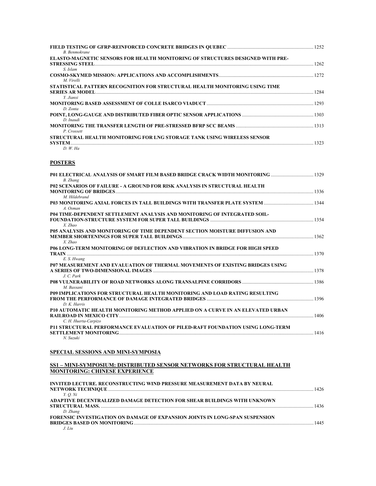| B. Benmokrane                                                                             |      |
|-------------------------------------------------------------------------------------------|------|
| ELASTO-MAGNETIC SENSORS FOR HEALTH MONITORING OF STRUCTURES DESIGNED WITH PRE-            |      |
| S. Islam                                                                                  |      |
| M. Virelli<br>STATISTICAL PATTERN RECOGNITION FOR STRUCTURAL HEALTH MONITORING USING TIME |      |
| Y. Jianxi                                                                                 |      |
| D. Zonta                                                                                  |      |
| D. Inaudi                                                                                 |      |
| P. Crossett<br>STRUCTURAL HEALTH MONITORING FOR LNG STORAGE TANK USING WIRELESS SENSOR    |      |
| <b>SYSTEM</b><br>$D.$ W. Ha                                                               | 1323 |

#### **POSTERS**

| <b>B.</b> Zhang                                                                                                                                                    |      |
|--------------------------------------------------------------------------------------------------------------------------------------------------------------------|------|
| P02 SCENARIOS OF FAILURE - A GROUND FOR RISK ANALYSIS IN STRUCTURAL HEALTH                                                                                         |      |
|                                                                                                                                                                    |      |
| M. Hildebrand                                                                                                                                                      |      |
| A. Osman                                                                                                                                                           |      |
| P04 TIME-DEPENDENT SETTLEMENT ANALYSIS AND MONITORING OF INTEGRATED SOIL-                                                                                          |      |
| $X$ . Zhao                                                                                                                                                         |      |
| <b>P05 ANALYSIS AND MONITORING OF TIME DEPENDENT SECTION MOISTURE DIFFUSION AND</b>                                                                                |      |
| $X$ . Zhao                                                                                                                                                         |      |
| P06 LONG-TERM MONITORING OF DEFLECTION AND VIBRATION IN BRIDGE FOR HIGH SPEED                                                                                      |      |
|                                                                                                                                                                    |      |
| E. S. Hwang                                                                                                                                                        |      |
| P07 MEASUREMENT AND EVALUATION OF THERMAL MOVEMENTS OF EXISTING BRIDGES USING                                                                                      |      |
|                                                                                                                                                                    | 1378 |
| $J_{\cdot}$ C. Park<br><b>P08 VULNERABILITY OF ROAD NETWORKS ALONG TRANSALPINE CORRIDORS [1986] P08 VULNERABILITY OF ROAD NETWORKS ALONG TRANSALPINE CORRIDORS</b> |      |
| M. Bassani                                                                                                                                                         |      |
| P09 IMPLICATIONS FOR STRUCTURAL HEALTH MONITORING AND LOAD RATING RESULTING                                                                                        |      |
|                                                                                                                                                                    |      |
| $D_K$ . Harris                                                                                                                                                     |      |
| P10 AUTOMATIC HEALTH MONITORING METHOD APPLIED ON A CURVE IN AN ELEVATED URBAN                                                                                     |      |
|                                                                                                                                                                    | 1406 |
| C. H. Huerta-Carpizo                                                                                                                                               |      |
| P11 STRUCTURAL PERFORMANCE EVALUATION OF PILED-RAFT FOUNDATION USING LONG-TERM                                                                                     |      |
| <b>SETTLEMENT MONITORING <i>CONFIGURATION CONFIGURATION CONFIGURATION CONFIGURATION</i></b> 1416                                                                   |      |
| N. Suzuki                                                                                                                                                          |      |

#### **SPECIAL SESSIONS AND MINI-SYMPOSIA**

#### **SS1 – MINI-SYMPOSIUM: DISTRIBUTED SENSOR NETWORKS FOR STRUCTURAL HEALTH MONITORING: CHINESE EXPERIENCE**

| INVITED LECTURE. RECONSTRUCTING WIND PRESSURE MEASUREMENT DATA BY NEURAL     | 1426 |
|------------------------------------------------------------------------------|------|
| <i>Y. O. Ni</i>                                                              |      |
| ADAPTIVE DECENTRALIZED DAMAGE DETECTION FOR SHEAR BUILDINGS WITH UNKNOWN     |      |
|                                                                              | 1436 |
| D. Zhang                                                                     |      |
| FORENSIC INVESTIGATION ON DAMAGE OF EXPANSION JOINTS IN LONG-SPAN SUSPENSION |      |
|                                                                              | 1445 |
|                                                                              |      |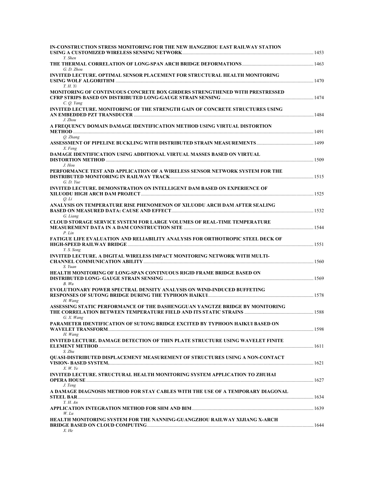| IN-CONSTRUCTION STRESS MONITORING FOR THE NEW HANGZHOU EAST RAILWAY STATION<br>Y. Shen                        |  |
|---------------------------------------------------------------------------------------------------------------|--|
| G. D. Zhou                                                                                                    |  |
| <b>INVITED LECTURE. OPTIMAL SENSOR PLACEMENT FOR STRUCTURAL HEALTH MONITORING</b><br><i>T. H. Yi</i>          |  |
| <b>MONITORING OF CONTINUOUS CONCRETE BOX GIRDERS STRENGTHENED WITH PRESTRESSED</b><br>C. Q. Yang              |  |
| <b>INVITED LECTURE. MONITORING OF THE STRENGTH GAIN OF CONCRETE STRUCTURES USING</b><br>J. Zhou               |  |
| A FREQUENCY DOMAIN DAMAGE IDENTIFICATION METHOD USING VIRTUAL DISTORTION                                      |  |
| O. Zhang<br>X. Feng                                                                                           |  |
| <b>DAMAGE IDENTIFICATION USING ADDITIONAL VIRTUAL MASSES BASED ON VIRTUAL</b>                                 |  |
| J. Hou<br>PERFORMANCE TEST AND APPLICATION OF A WIRELESS SENSOR NETWORK SYSTEM FOR THE                        |  |
| G. D. Yue<br><b>INVITED LECTURE. DEMONSTRATION ON INTELLIGENT DAM BASED ON EXPERIENCE OF</b>                  |  |
| Q. Li<br>ANALYSIS ON TEMPERATURE RISE PHENOMENON OF XILUODU ARCH DAM AFTER SEALING                            |  |
| G. Liang<br>CLOUD STORAGE SERVICE SYSTEM FOR LARGE VOLUMES OF REAL-TIME TEMPERATURE                           |  |
| P. Lin<br><b>FATIGUE LIFE EVALUATION AND RELIABILITY ANALYSIS FOR ORTHOTROPIC STEEL DECK OF</b><br>Y. S. Song |  |
| <b>INVITED LECTURE. A DIGITAL WIRELESS IMPACT MONITORING NETWORK WITH MULTI-</b>                              |  |
| S. Yuan<br><b>HEALTH MONITORING OF LONG-SPAN CONTINUOUS RIGID FRAME BRIDGE BASED ON</b>                       |  |
| B. Wu<br><b>EVOLUTIONARY POWER SPECTRAL DENSITY ANALYSIS ON WIND-INDUCED BUFFETING</b>                        |  |
| H. Wang<br>ASSESSING STATIC PERFORMANCE OF THE DASHENGGUAN YANGTZE BRIDGE BY MONITORING                       |  |
| G. X. Wang<br>PARAMETER IDENTIFICATION OF SUTONG BRIDGE EXCITED BY TYPHOON HAIKUI BASED ON                    |  |
| H. Wang<br><b>INVITED LECTURE. DAMAGE DETECTION OF THIN PLATE STRUCTURE USING WAVELET FINITE</b>              |  |
| S. Zhu<br><b>OUASI-DISTRIBUTED DISPLACEMENT MEASUREMENT OF STRUCTURES USING A NON-CONTACT</b>                 |  |
| X. W. Ye<br><b>INVITED LECTURE. STRUCTURAL HEALTH MONITORING SYSTEM APPLICATION TO ZHUHAI</b>                 |  |
| J. Teng<br>A DAMAGE DIAGNOSIS METHOD FOR STAY CABLES WITH THE USE OF A TEMPORARY DIAGONAL                     |  |
| Y. H. An                                                                                                      |  |
| W. Lu<br>HEALTH MONITORING SYSTEM FOR THE NANNING-GUANGZHOU RAILWAY XIJIANG X-ARCH                            |  |
| X. He                                                                                                         |  |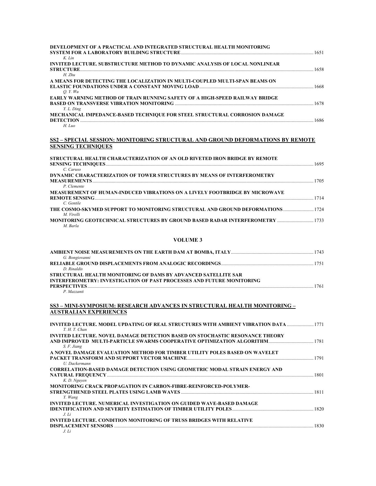| DEVELOPMENT OF A PRACTICAL AND INTEGRATED STRUCTURAL HEALTH MONITORING             | 1651 |
|------------------------------------------------------------------------------------|------|
| $K$ . Lin                                                                          |      |
| <b>INVITED LECTURE. SUBSTRUCTURE METHOD TO DYNAMIC ANALYSIS OF LOCAL NONLINEAR</b> |      |
|                                                                                    | 1658 |
| H. Zhu                                                                             |      |
| A MEANS FOR DETECTING THE LOCALIZATION IN MULTI-COUPLED MULTI-SPAN BEAMS ON        |      |
| O.Y. Wu                                                                            |      |
| <b>EARLY WARNING METHOD OF TRAIN RUNNING SAFETY OF A HIGH-SPEED RAILWAY BRIDGE</b> |      |
| Y.L. Ding                                                                          | 1678 |
| MECHANICAL IMPEDANCE-BASED TECHNIQUE FOR STEEL STRUCTURAL CORROSION DAMAGE         |      |
|                                                                                    | 1686 |
| $H. \; Luo$                                                                        |      |

#### **SS2 – SPECIAL SESSION: MONITORING STRUCTURAL AND GROUND DEFORMATIONS BY REMOTE SENSING TECHNIQUES**

| STRUCTURAL HEALTH CHARACTERIZATION OF AN OLD RIVETED IRON BRIDGE BY REMOTE                       |      |
|--------------------------------------------------------------------------------------------------|------|
| C. Caruso                                                                                        | 1695 |
| DYNAMIC CHARACTERIZATION OF TOWER STRUCTURES BY MEANS OF INTERFEROMETRY                          |      |
|                                                                                                  | 1705 |
| P. Clemente                                                                                      |      |
| <b>MEASUREMENT OF HUMAN-INDUCED VIBRATIONS ON A LIVELY FOOTBRIDGE BY MICROWAVE</b>               | 1714 |
| C. Gentile                                                                                       |      |
| THE COSMO-SKYMED SUPPORT TO MONITORING STRUCTURAL AND GROUND DEFORMATIONS 1724<br>M. Virelli     |      |
| <b>MONITORING GEOTECHNICAL STRUCTURES BY GROUND BASED RADAR INTERFEROMETRY  1733</b><br>M. Barla |      |

#### **VOLUME 3**

| G. Bongiovanni                                                               |      |
|------------------------------------------------------------------------------|------|
|                                                                              |      |
| D Rinaldis                                                                   |      |
| STRUCTURAL HEALTH MONITORING OF DAMS BY ADVANCED SATELLITE SAR               |      |
| <b>INTERFEROMETRY: INVESTIGATION OF PAST PROCESSES AND FUTURE MONITORING</b> |      |
|                                                                              | 1761 |
| P Mazzanti                                                                   |      |

#### **SS3 – MINI-SYMPOSIUM: RESEARCH ADVANCES IN STRUCTURAL HEALTH MONITORING – AUSTRALIAN EXPERIENCES**

| <b>INVITED LECTURE. MODEL UPDATING OF REAL STRUCTURES WITH AMBIENT VIBRATION DATA  1771</b><br>T. H. T. Chan |  |
|--------------------------------------------------------------------------------------------------------------|--|
| <b>INVITED LECTURE. NOVEL DAMAGE DETECTION BASED ON STOCHASTIC RESONANCE THEORY</b>                          |  |
| S. F. Jiang                                                                                                  |  |
| A NOVEL DAMAGE EVALUATION METHOD FOR TIMBER UTILITY POLES BASED ON WAVELET                                   |  |
| U. Dackermann                                                                                                |  |
| <b>CORRELATION-BASED DAMAGE DETECTION USING GEOMETRIC MODAL STRAIN ENERGY AND</b>                            |  |
| K. D. Nguyen<br><b>MONITORING CRACK PROPAGATION IN CARBON-FIBRE-REINFORCED-POLYMER-</b>                      |  |
| Y. Wang                                                                                                      |  |
| <b>INVITED LECTURE. NUMERICAL INVESTIGATION ON GUIDED WAVE-BASED DAMAGE</b>                                  |  |
| J. Li                                                                                                        |  |
| <b>INVITED LECTURE. CONDITION MONITORING OF TRUSS BRIDGES WITH RELATIVE</b>                                  |  |
| $\overline{I}$                                                                                               |  |

*J. Li*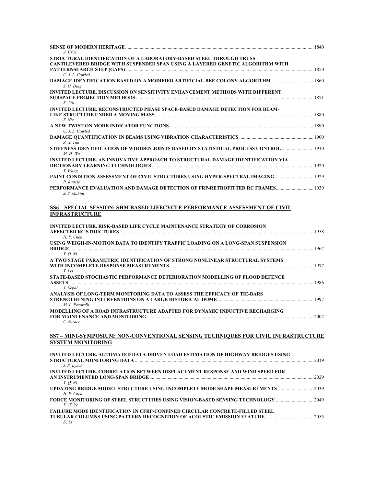| A. Cruz<br>STRUCTURAL IDENTIFICATION OF A LABORATORY-BASED STEEL THROUGH TRUSS                                 |  |
|----------------------------------------------------------------------------------------------------------------|--|
| <b>CANTILEVERED BRIDGE WITH SUSPENDED SPAN USING A LAYERED GENETIC ALGORITHM WITH</b>                          |  |
| C. J. L. Cowled<br>Z. H. Ding                                                                                  |  |
| <b>INVITED LECTURE. DISCUSSION ON SENSITIVITY ENHANCEMENT METHODS WITH DIFFERENT</b>                           |  |
| K. Liu<br>INVITED LECTURE. RECONSTRUCTED PHASE SPACE-BASED DAMAGE DETECTION FOR BEAM-                          |  |
| Z. Nie                                                                                                         |  |
| C. J. L. Cowled                                                                                                |  |
| Z. X. Tan<br>STIFFNESS IDENTIFICATION OF WOODEN JOINTS BASED ON STATISTICAL PROCESS CONTROL  1910<br>M. H. Wu  |  |
| INVITED LECTURE. AN INNOVATIVE APPROACH TO STRUCTURAL DAMAGE IDENTIFICATION VIA                                |  |
| Y. Wang<br>P. Runcie                                                                                           |  |
| S. S. Mahini                                                                                                   |  |
| SS6 - SPECIAL SESSION: SHM BASED LIFECYCLE PERFORMANCE ASSESSMENT OF CIVIL<br><b>INFRASTRUCTURE</b>            |  |
| <b>INVITED LECTURE. RISK-BASED LIFE CYCLE MAINTENANCE STRATEGY OF CORROSION</b><br>H. P. Chen                  |  |
| USING WEIGH-IN-MOTION DATA TO IDENTIFY TRAFFIC LOADING ON A LONG-SPAN SUSPENSION                               |  |
| Y. O. Ni<br>A TWO STAGE PARAMETRIC IDENTIFICATION OF STRONG NONLINEAR STRUCTURAL SYSTEMS<br>Y. Lei             |  |
| STATE-BASED STOCHASTIC PERFORMANCE DETERIORATION MODELLING OF FLOOD DEFENCE                                    |  |
| J. Nepal<br>ANALYSIS OF LONG-TERM MONITORING DATA TO ASSESS THE EFFICACY OF TIE-BARS                           |  |
| M. L. Pecorelli<br>MODELLING OF A ROAD INFRASTRUCTURE ADAPTED FOR DYNAMIC INDUCTIVE RECHARGING<br>C. Surace    |  |
| SS7 – MINI-SYMPOSIUM: NON-CONVENTIONAL SENSING TECHNIOUES FOR CIVIL INFRASTRUCTURE<br><b>SYSTEM MONITORING</b> |  |
| INVITED LECTURE. AUTOMATED DATA-DRIVEN LOAD ESTIMATION OF HIGHWAY BRIDGES USING                                |  |
| J. P. Lynch<br><b>INVITED LECTURE. CORRELATION BETWEEN DISPLACEMENT RESPONSE AND WIND SPEED FOR</b>            |  |
| Y. <i>Q. Ni</i><br>H. P. Chen                                                                                  |  |
| $X.$ W. Ye                                                                                                     |  |
| FAILURE MODE IDENTIFICATION IN CFRP-CONFINED CIRCULAR CONCRETE-FILLED STEEL<br>D. Li                           |  |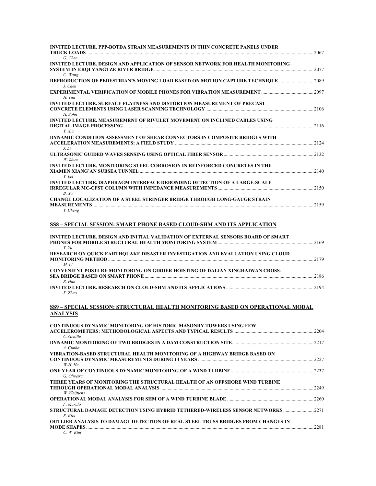| INVITED LECTURE. PPP-BOTDA STRAIN MEASUREMENTS IN THIN CONCRETE PANELS UNDER                      |  |
|---------------------------------------------------------------------------------------------------|--|
| G. Chen                                                                                           |  |
| <b>INVITED LECTURE. DESIGN AND APPLICATION OF SENSOR NETWORK FOR HEALTH MONITORING</b><br>C. Wang |  |
| REPRODUCTION OF PEDESTRIAN'S MOVING LOAD BASED ON MOTION CAPTURE TECHNIQUE2089<br>$J$ . Chen      |  |
| H. Tan                                                                                            |  |
| <b>INVITED LECTURE. SURFACE FLATNESS AND DISTORTION MEASUREMENT OF PRECAST</b><br>H. Sohn         |  |
| <b>INVITED LECTURE. MEASUREMENT OF RIVULET MOVEMENT ON INCLINED CABLES USING</b>                  |  |
| Y. Xia<br>DYNAMIC CONDITION ASSESSMENT OF SHEAR CONNECTORS IN COMPOSITE BRIDGES WITH<br>J. Li     |  |
| W. Zhou                                                                                           |  |
| <b>INVITED LECTURE. MONITORING STEEL CORROSION IN REINFORCED CONCRETES IN THE</b><br>Y. Lei       |  |
| <b>INVITED LECTURE. DIAPHRAGM INTERFACE DEBONDING DETECTION OF A LARGE-SCALE</b><br>B. Xu         |  |
| CHANGE LOCALIZATION OF A STEEL STRINGER BRIDGE THROUGH LONG-GAUGE STRAIN<br>Y. Cheng              |  |
| SS8 – SPECIAL SESSION: SMART PHONE BASED CLOUD-SHM AND ITS APPLICATION                            |  |
| INVITED LECTURE. DESIGN AND INITIAL VALIDATION OF EXTERNAL SENSORS BOARD OF SMART<br>Y. Yu        |  |
| RESEARCH ON QUICK EARTHQUAKE DISASTER INVESTIGATION AND EVALUATION USING CLOUD<br>M. Li           |  |
| CONVENIENT POSTURE MONITORING ON GIRDER HOISTING OF DALIAN XINGHAIWAN CROSS-<br>$R.$ Han          |  |
| X. Zhao                                                                                           |  |
| SS9 - SPECIAL SESSION: STRUCTURAL HEALTH MONITORING BASED ON OPERATIONAL MODAL<br><b>ANALYSIS</b> |  |
| <b>CONTINUOUS DYNAMIC MONITORING OF HISTORIC MASONRY TOWERS USING FEW</b><br>C. Gentile           |  |
| A. Cunha                                                                                          |  |
| VIBRATION-BASED STRUCTURAL HEALTH MONITORING OF A HIGHWAY BRIDGE BASED ON<br>$W-H. Hu$            |  |
|                                                                                                   |  |

**THREE YEARS OF MONITORING THE STRUCTURAL HEALTH OF AN OFFSHORE WIND TURBINE** 

**OUTLIER ANALYSIS TO DAMAGE DETECTION OF REAL STEEL TRUSS BRIDGES FROM CHANGES IN** 

**THROUGH OPERATIONAL MODAL ANALYSIS** ..............................................................................................................................2249

**OPERATIONAL MODAL ANALYSIS FOR SHM OF A WIND TURBINE BLADE** .......................................................................2260

**STRUCTURAL DAMAGE DETECTION USING HYBRID TETHERED-WIRELESS SENSOR NETWORKS** .........................2271

| <b>MODE SHAPES</b> | $\sim\sim\sim$<br>. |
|--------------------|---------------------|
| Kim<br>W           |                     |

*G. Oliveira* 

*W. Weijtjens* 

*F. Marulo* 

*R. Klis*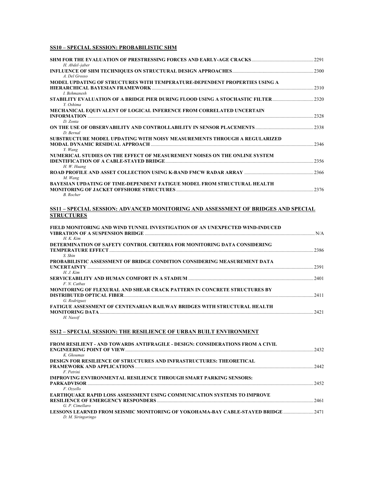## **SS10 – SPECIAL SESSION: PROBABILISTIC SHM**

| H. Abdel-jaber                                                                                                                                                                               |         |
|----------------------------------------------------------------------------------------------------------------------------------------------------------------------------------------------|---------|
| A. Del Grosso                                                                                                                                                                                |         |
| MODEL UPDATING OF STRUCTURES WITH TEMPERATURE-DEPENDENT PROPERTIES USING A<br>HIERARCHICAL BAYESIAN FRAMEWORK MARIORAL MARIA AND ANN AN ANN AN AIR AN AIR AN AIR AN AIR AIR AN AIR AIR AIR A | $-2310$ |
| <b>I.</b> Behmanesh<br>STABILITY EVALUATION OF A BRIDGE PIER DURING FLOOD USING A STOCHASTIC FILTER 2320<br>Y. Oshima                                                                        |         |
| MECHANICAL EQUIVALENT OF LOGICAL INFERENCE FROM CORRELATED UNCERTAIN<br>D. Zonta                                                                                                             |         |
| D. Bernal                                                                                                                                                                                    |         |
| SUBSTRUCTURE MODEL UPDATING WITH NOISY MEASUREMENTS THROUGH A REGULARIZED<br>Y. Wang                                                                                                         |         |
| NUMERICAL STUDIES ON THE EFFECT OF MEASUREMENT NOISES ON THE ONLINE SYSTEM<br><b>IDENTIFICATION OF A CABLE-STAYED BRIDGE</b><br>H. W. Huang                                                  |         |
| M. Wang                                                                                                                                                                                      |         |
| <b>BAYESIAN UPDATING OF TIME-DEPENDENT FATIGUE MODEL FROM STRUCTURAL HEALTH</b><br><b>B.</b> Rocher                                                                                          |         |
| SS11 – SPECIAL SESSION: ADVANCED MONITORING AND ASSESSMENT OF BRIDGES AND SPECIAL<br><b>STRUCTURES</b>                                                                                       |         |
| FIELD MONITORING AND WIND TUNNEL INVESTIGATION OF AN UNEXPECTED WIND-INDUCED                                                                                                                 |         |

| $H$ . K. Kim                                                                    |      |
|---------------------------------------------------------------------------------|------|
| DETERMINATION OF SAFETY CONTROL CRITERIA FOR MONITORING DATA CONSIDERING        |      |
|                                                                                 | 2386 |
| S. Shin                                                                         |      |
| PROBABILISTIC ASSESSMENT OF BRIDGE CONDITION CONSIDERING MEASUREMENT DATA       |      |
|                                                                                 | 2391 |
| H. J. Kim                                                                       |      |
|                                                                                 | 2401 |
| F. N. Cathas                                                                    |      |
| MONITORING OF FLEXURAL AND SHEAR CRACK PATTERN IN CONCRETE STRUCTURES BY        |      |
|                                                                                 | 2411 |
| G. Rodriguez                                                                    |      |
| <b>FATIGUE ASSESSMENT OF CENTENARIAN RAILWAY BRIDGES WITH STRUCTURAL HEALTH</b> |      |
|                                                                                 | 2421 |
| H. Nassif                                                                       |      |
|                                                                                 |      |

## **SS12 – SPECIAL SESSION: THE RESILIENCE OF URBAN BUILT ENVIRONMENT**

| FROM RESILIENT - AND TOWARDS ANTIFRAGILE - DESIGN: CONSIDERATIONS FROM A CIVIL   |      |
|----------------------------------------------------------------------------------|------|
|                                                                                  | 2432 |
| K. Gkoumas                                                                       |      |
| <b>DESIGN FOR RESILIENCE OF STRUCTURES AND INFRASTRUCTURES: THEORETICAL</b>      |      |
|                                                                                  | 2442 |
| F. Petrini                                                                       |      |
| <b>IMPROVING ENVIRONMENTAL RESILIENCE THROUGH SMART PARKING SENSORS:</b>         |      |
|                                                                                  | 2452 |
| F. Ozzello                                                                       |      |
| <b>EARTHOUAKE RAPID LOSS ASSESSMENT USING COMMUNICATION SYSTEMS TO IMPROVE</b>   |      |
|                                                                                  | 2461 |
| G. P. Cimellaro                                                                  |      |
| 1471 LESSONS LEARNED FROM SEISMIC MONITORING OF YOKOHAMA-BAY CABLE-STAYED BRIDGE |      |
| D. M. Siringoringo                                                               |      |